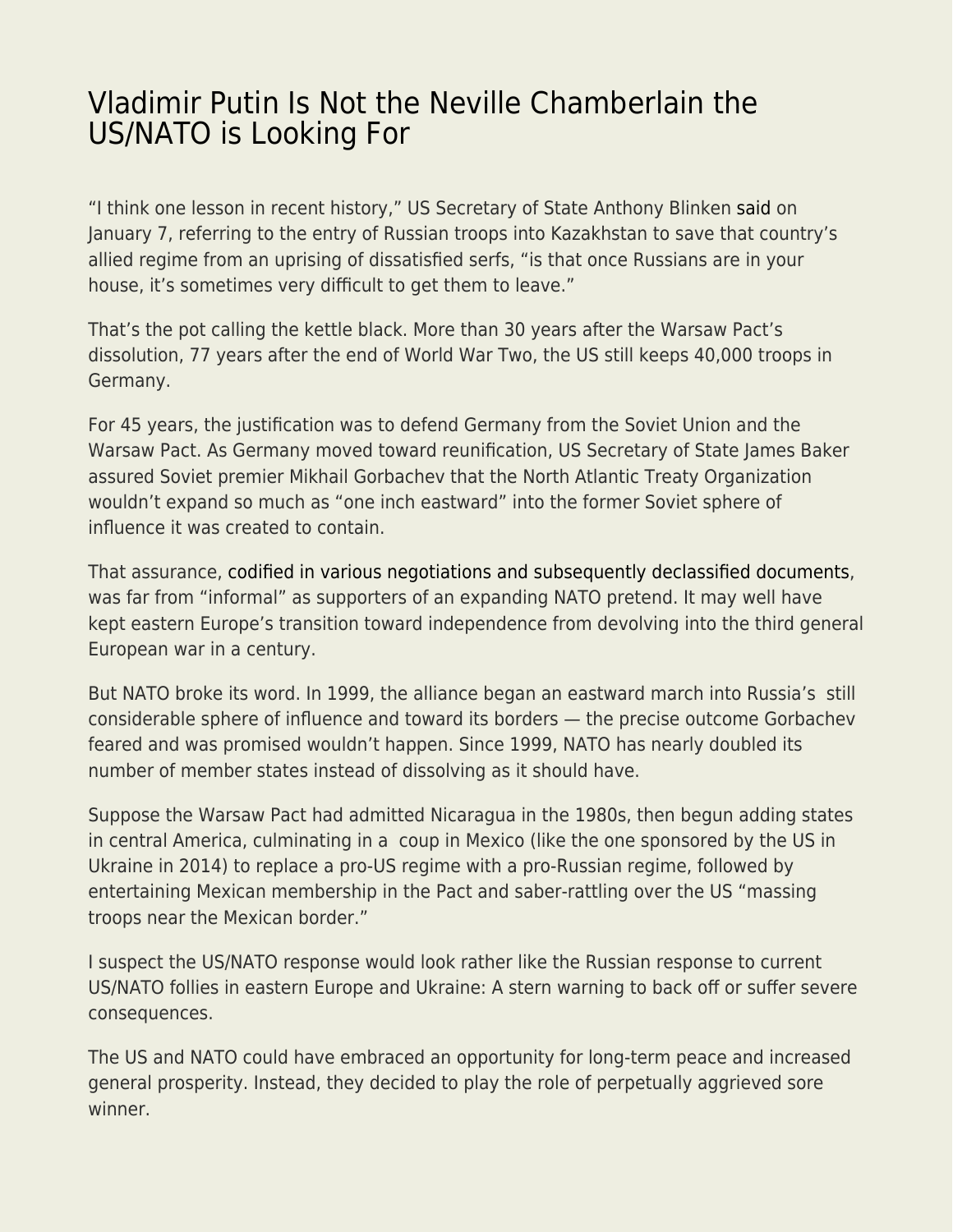## [Vladimir Putin Is Not the Neville Chamberlain the](https://everything-voluntary.com/vladimir-putin-is-not-the-neville-chamberlain-the-us-nato-is-looking-for) [US/NATO is Looking For](https://everything-voluntary.com/vladimir-putin-is-not-the-neville-chamberlain-the-us-nato-is-looking-for)

"I think one lesson in recent history," US Secretary of State Anthony Blinken [said](https://www.timesofisrael.com/blinken-to-kazakhstan-its-hard-to-get-russians-to-leave-once-theyre-in-your-home/) on January 7, referring to the entry of Russian troops into Kazakhstan to save that country's allied regime from an uprising of dissatisfied serfs, "is that once Russians are in your house, it's sometimes very difficult to get them to leave."

That's the pot calling the kettle black. More than 30 years after the Warsaw Pact's dissolution, 77 years after the end of World War Two, the US still keeps 40,000 troops in Germany.

For 45 years, the justification was to defend Germany from the Soviet Union and the Warsaw Pact. As Germany moved toward reunification, US Secretary of State James Baker assured Soviet premier Mikhail Gorbachev that the North Atlantic Treaty Organization wouldn't expand so much as "one inch eastward" into the former Soviet sphere of influence it was created to contain.

That assurance, [codified in various negotiations and subsequently declassified documents](https://mltoday.com/new-document-us-promised-not-to-expand-nato-eastward/), was far from "informal" as supporters of an expanding NATO pretend. It may well have kept eastern Europe's transition toward independence from devolving into the third general European war in a century.

But NATO broke its word. In 1999, the alliance began an eastward march into Russia's still considerable sphere of influence and toward its borders — the precise outcome Gorbachev feared and was promised wouldn't happen. Since 1999, NATO has nearly doubled its number of member states instead of dissolving as it should have.

Suppose the Warsaw Pact had admitted Nicaragua in the 1980s, then begun adding states in central America, culminating in a coup in Mexico (like the one sponsored by the US in Ukraine in 2014) to replace a pro-US regime with a pro-Russian regime, followed by entertaining Mexican membership in the Pact and saber-rattling over the US "massing troops near the Mexican border."

I suspect the US/NATO response would look rather like the Russian response to current US/NATO follies in eastern Europe and Ukraine: A stern warning to back off or suffer severe consequences.

The US and NATO could have embraced an opportunity for long-term peace and increased general prosperity. Instead, they decided to play the role of perpetually aggrieved sore winner.